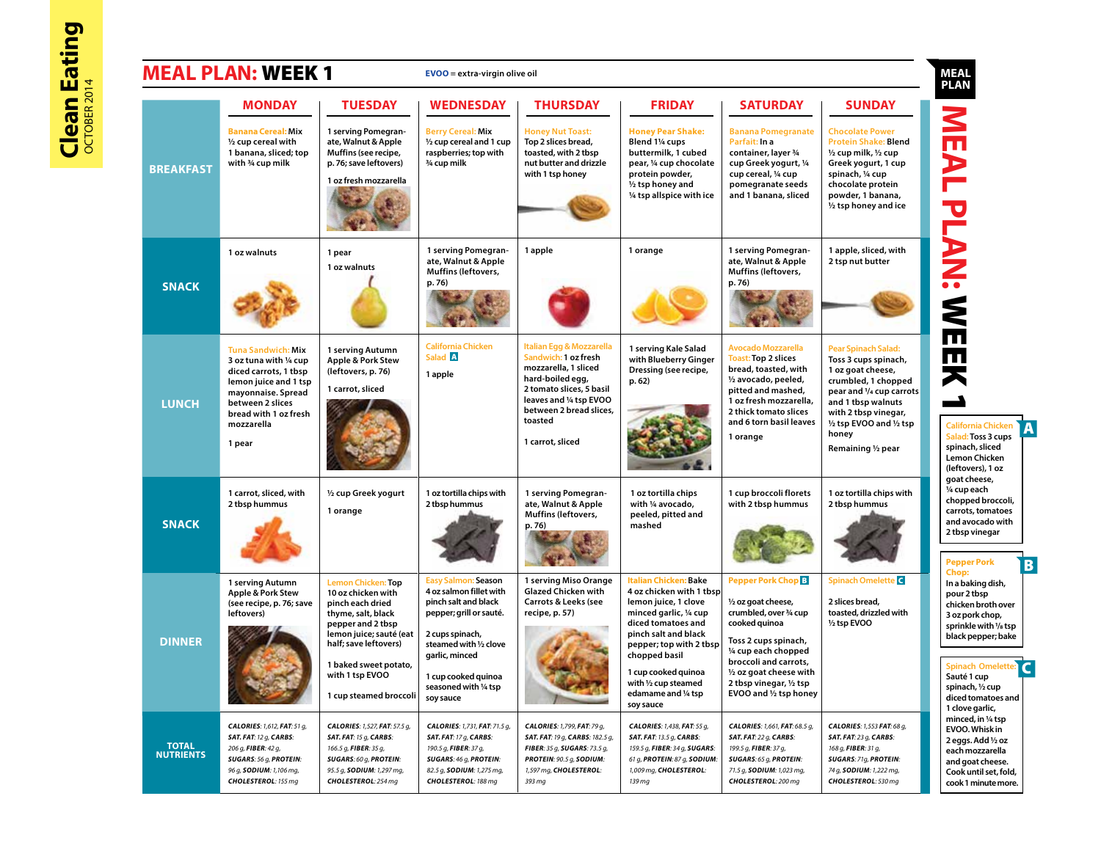|                                  | <b>MEAL PLAN: WEEK 1</b>                                                                                                                                                                         |                                                                                                                                                                                                                                          | $EVOO =$ extra-virgin olive oil                                                                                                                                                                                                      |                                                                                                                                                                                                               |                                                                                                                                                                                                                                                                                                   |                                                                                                                                                                                                                                                                              |                                                                                                                                                                                                                                     | <b>MEAL</b><br><b>PLAN</b>                                                                                                                                                                                                                |
|----------------------------------|--------------------------------------------------------------------------------------------------------------------------------------------------------------------------------------------------|------------------------------------------------------------------------------------------------------------------------------------------------------------------------------------------------------------------------------------------|--------------------------------------------------------------------------------------------------------------------------------------------------------------------------------------------------------------------------------------|---------------------------------------------------------------------------------------------------------------------------------------------------------------------------------------------------------------|---------------------------------------------------------------------------------------------------------------------------------------------------------------------------------------------------------------------------------------------------------------------------------------------------|------------------------------------------------------------------------------------------------------------------------------------------------------------------------------------------------------------------------------------------------------------------------------|-------------------------------------------------------------------------------------------------------------------------------------------------------------------------------------------------------------------------------------|-------------------------------------------------------------------------------------------------------------------------------------------------------------------------------------------------------------------------------------------|
|                                  | <b>MONDAY</b>                                                                                                                                                                                    | <b>TUESDAY</b>                                                                                                                                                                                                                           | <b>WEDNESDAY</b>                                                                                                                                                                                                                     | <b>THURSDAY</b>                                                                                                                                                                                               | <b>FRIDAY</b>                                                                                                                                                                                                                                                                                     | <b>SATURDAY</b>                                                                                                                                                                                                                                                              | <b>SUNDAY</b>                                                                                                                                                                                                                       |                                                                                                                                                                                                                                           |
| <b>BREAKFAST</b>                 | <b>Banana Cereal: Mix</b><br>1/2 cup cereal with<br>1 banana, sliced; top<br>with 3/4 cup milk                                                                                                   | 1 serving Pomegran-<br>ate, Walnut & Apple<br>Muffins (see recipe,<br>p. 76; save leftovers)<br>1 oz fresh mozzarella                                                                                                                    | <b>Berry Cereal: Mix</b><br>1/2 cup cereal and 1 cup<br>raspberries; top with<br>3/4 cup milk                                                                                                                                        | <b>Honey Nut Toast:</b><br>Top 2 slices bread,<br>toasted, with 2 tbsp<br>nut butter and drizzle<br>with 1 tsp honey                                                                                          | <b>Honey Pear Shake:</b><br>Blend 11/4 cups<br>buttermilk, 1 cubed<br>pear, 1/4 cup chocolate<br>protein powder,<br>1/2 tsp honey and<br>1/4 tsp allspice with ice                                                                                                                                | <b>Banana Pomegranate</b><br>Parfait: In a<br>container, layer 3/4<br>cup Greek yogurt, 1/4<br>cup cereal, 1/4 cup<br>pomegranate seeds<br>and 1 banana, sliced                                                                                                              | <b>Chocolate Power</b><br><b>Protein Shake: Blend</b><br>1/2 cup milk, 1/2 cup<br>Greek yogurt, 1 cup<br>spinach, 1/4 cup<br>chocolate protein<br>powder, 1 banana,<br>1/2 tsp honey and ice                                        |                                                                                                                                                                                                                                           |
| <b>SNACK</b>                     | 1 oz walnuts                                                                                                                                                                                     | 1 pear<br>1 oz walnuts                                                                                                                                                                                                                   | 1 serving Pomegran-<br>ate, Walnut & Apple<br><b>Muffins (leftovers,</b><br>p. 76)                                                                                                                                                   | 1 apple                                                                                                                                                                                                       | 1 orange                                                                                                                                                                                                                                                                                          | 1 serving Pomegran-<br>ate, Walnut & Apple<br>Muffins (leftovers,<br>p. 76)                                                                                                                                                                                                  | 1 apple, sliced, with<br>2 tsp nut butter                                                                                                                                                                                           | <b>LANS: WEER</b>                                                                                                                                                                                                                         |
| <b>LUNCH</b>                     | <b>Tuna Sandwich: Mix</b><br>3 oz tuna with 1/4 cup<br>diced carrots, 1 tbsp<br>lemon juice and 1 tsp<br>mayonnaise. Spread<br>between 2 slices<br>bread with 1 oz fresh<br>mozzarella<br>1 pear | 1 serving Autumn<br>Apple & Pork Stew<br>(leftovers, p. 76)<br>1 carrot, sliced                                                                                                                                                          | <b>California Chicken</b><br>Salad A<br>1 apple                                                                                                                                                                                      | Italian Egg & Mozzarella<br>Sandwich: 1 oz fresh<br>mozzarella, 1 sliced<br>hard-boiled egg,<br>2 tomato slices, 5 basil<br>leaves and 1/4 tsp EVOO<br>between 2 bread slices,<br>toasted<br>1 carrot, sliced | 1 serving Kale Salad<br>with Blueberry Ginger<br>Dressing (see recipe,<br>p.62)                                                                                                                                                                                                                   | <b>Avocado Mozzarella</b><br><b>Toast: Top 2 slices</b><br>bread, toasted, with<br>1/2 avocado, peeled,<br>pitted and mashed,<br>1 oz fresh mozzarella,<br>2 thick tomato slices<br>and 6 torn basil leaves<br>1 orange                                                      | <b>Pear Spinach Salad:</b><br>Toss 3 cups spinach,<br>1 oz goat cheese,<br>crumbled, 1 chopped<br>pear and 1/4 cup carrots<br>and 1 tbsp walnuts<br>with 2 tbsp vinegar,<br>1/2 tsp EVOO and 1/2 tsp<br>honey<br>Remaining 1/2 pear | <b>California Chicken</b><br>Salad: Toss 3 cups<br>spinach, sliced<br><b>Lemon Chicken</b><br>(leftovers), 1 oz                                                                                                                           |
| <b>SNACK</b>                     | 1 carrot, sliced, with<br>2 tbsp hummus                                                                                                                                                          | 1/2 cup Greek yogurt<br>1 orange                                                                                                                                                                                                         | 1 oz tortilla chips with<br>2 tbsp hummus                                                                                                                                                                                            | 1 serving Pomegran-<br>ate, Walnut & Apple<br>Muffins (leftovers,<br>p. 76)                                                                                                                                   | 1 oz tortilla chips<br>with 1/4 avocado,<br>peeled, pitted and<br>mashed                                                                                                                                                                                                                          | 1 cup broccoli florets<br>with 2 tbsp hummus                                                                                                                                                                                                                                 | 1 oz tortilla chips with<br>2 tbsp hummus                                                                                                                                                                                           | goat cheese,<br>1/4 cup each<br>chopped broccoli,<br>carrots, tomatoes<br>and avocado with<br>2 tbsp vinegar<br><b>Pepper Pork</b>                                                                                                        |
| <b>DINNER</b>                    | 1 serving Autumn<br>Apple & Pork Stew<br>(see recipe, p. 76; save<br>leftovers)                                                                                                                  | <b>Lemon Chicken: Top</b><br>10 oz chicken with<br>pinch each dried<br>thyme, salt, black<br>pepper and 2 tbsp<br>lemon juice; sauté (eat<br>half; save leftovers)<br>1 baked sweet potato,<br>with 1 tsp EVOO<br>1 cup steamed broccoli | <b>Easy Salmon: Season</b><br>4 oz salmon fillet with<br>pinch salt and black<br>pepper; grill or sauté.<br>2 cups spinach,<br>steamed with 1/2 clove<br>garlic, minced<br>1 cup cooked quinoa<br>seasoned with 1/4 tsp<br>soy sauce | 1 serving Miso Orange<br><b>Glazed Chicken with</b><br>Carrots & Leeks (see<br>recipe, p. 57)                                                                                                                 | <b>Italian Chicken: Bake</b><br>4 oz chicken with 1 tbsp<br>lemon juice, 1 clove<br>minced garlic, 1/4 cup<br>diced tomatoes and<br>pinch salt and black<br>pepper; top with 2 tbsp<br>chopped basil<br>1 cup cooked quinoa<br>with $\frac{1}{2}$ cup steamed<br>edamame and 1/4 tsp<br>soy sauce | Pepper Pork Chop <sup>B</sup><br>1/2 oz goat cheese,<br>crumbled, over 3/4 cup<br>cooked quinoa<br>Toss 2 cups spinach,<br>1/4 cup each chopped<br>broccoli and carrots,<br>$\frac{1}{2}$ oz goat cheese with<br>2 tbsp vinegar, $\frac{1}{2}$ tsp<br>EVOO and 1/2 tsp honey | Spinach Omelette <sup>C</sup><br>2 slices bread,<br>toasted, drizzled with<br>1/2 tsp EVOO                                                                                                                                          | Chop:<br>In a baking dish,<br>pour 2 tbsp<br>chicken broth over<br>3 oz pork chop,<br>sprinkle with 1/8 tsp<br>black pepper; bake<br><b>Spinach Omelette:</b><br>Sauté 1 cup<br>spinach, 1/2 cup<br>diced tomatoes and<br>1 clove garlic, |
| <b>TOTAL</b><br><b>NUTRIENTS</b> | CALORIES: 1,612, FAT: 51 g,<br><b>SAT. FAT: 12 g, CARBS:</b><br>206 g, FIBER: 42 g,<br>SUGARS: 56 g, PROTEIN:<br>96 g, SODIUM: 1,106 mg,<br>CHOLESTEROL: 155 mg                                  | CALORIES: 1,527, FAT: 57.5 g,<br>SAT. FAT: 15 g, CARBS:<br>166.5 g, FIBER: 35 g,<br><b>SUGARS: 60 g, PROTEIN:</b><br>95.5 g, SODIUM: 1,297 mg,<br>CHOLESTEROL: 254 mg                                                                    | CALORIES: 1,731, FAT: 71.5 g,<br>SAT. FAT: 17 g, CARBS:<br>190.5 g, FIBER: 37 g,<br><b>SUGARS: 46 g, PROTEIN:</b><br>82.5 g, SODIUM: 1,275 mg,<br>CHOLESTEROL: 188 mg                                                                | CALORIES: 1,799, FAT: 79 g,<br>SAT. FAT: 19 g, CARBS: 182.5 g,<br>FIBER: 35 g, SUGARS: 73.5 g,<br>PROTEIN: 90.5 g, SODIUM:<br>1,597 mg, CHOLESTEROL:<br>393 mg                                                | CALORIES: 1,438, FAT: 55 g,<br><b>SAT. FAT: 13.5 g, CARBS:</b><br>159.5 g, FIBER: 34 g, SUGARS:<br>61 g, PROTEIN: 87 g, SODIUM:<br>1,009 mg, CHOLESTEROL:<br>139 mg                                                                                                                               | CALORIES: 1,661, FAT: 68.5 g,<br>SAT. FAT: 22 g, CARBS:<br>199.5 g, FIBER: 37 g,<br>SUGARS: 65 g, PROTEIN:<br>71.5 g, SODIUM: 1,023 mg,<br>CHOLESTEROL: 200 mg                                                                                                               | CALORIES: 1,553 FAT: 68 g,<br>SAT. FAT: 23 g, CARBS:<br>168 g, FIBER: 31 g,<br>SUGARS: 71g, PROTEIN:<br>74 g, SODIUM: 1,222 mg,<br>CHOLESTEROL: 530 mg                                                                              | minced, in 1/4 tsp<br>EVOO. Whisk in<br>2 eggs. Add 1/2 oz<br>each mozzarella<br>and goat cheese.<br>Cook until set, fold,<br>cook 1 minute more.                                                                                         |

B

**A**